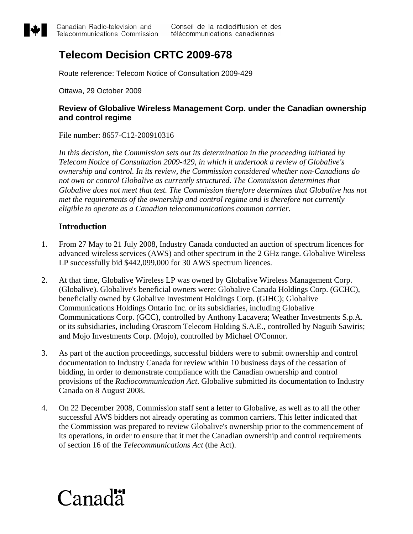

# **Telecom Decision CRTC 2009-678**

Route reference: Telecom Notice of Consultation 2009-429

Ottawa, 29 October 2009

# **Review of Globalive Wireless Management Corp. under the Canadian ownership and control regime**

File number: 8657-C12-200910316

 *In this decision, the Commission sets out its determination in the proceeding initiated by Telecom Notice of Consultation 2009-429, in which it undertook a review of Globalive's ownership and control. In its review, the Commission considered whether non-Canadians do not own or control Globalive as currently structured. The Commission determines that Globalive does not meet that test. The Commission therefore determines that Globalive has not met the requirements of the ownership and control regime and is therefore not currently eligible to operate as a Canadian telecommunications common carrier.* 

# **Introduction**

- 1. From 27 May to 21 July 2008, Industry Canada conducted an auction of spectrum licences for advanced wireless services (AWS) and other spectrum in the 2 GHz range. Globalive Wireless LP successfully bid \$442,099,000 for 30 AWS spectrum licences.
- 2. At that time, Globalive Wireless LP was owned by Globalive Wireless Management Corp. (Globalive). Globalive's beneficial owners were: Globalive Canada Holdings Corp. (GCHC), beneficially owned by Globalive Investment Holdings Corp. (GIHC); Globalive Communications Holdings Ontario Inc. or its subsidiaries, including Globalive Communications Corp. (GCC), controlled by Anthony Lacavera; Weather Investments S.p.A. or its subsidiaries, including Orascom Telecom Holding S.A.E., controlled by Naguib Sawiris; and Mojo Investments Corp. (Mojo), controlled by Michael O'Connor.
- 3. As part of the auction proceedings, successful bidders were to submit ownership and control documentation to Industry Canada for review within 10 business days of the cessation of bidding, in order to demonstrate compliance with the Canadian ownership and control provisions of the *Radiocommunication Act*. Globalive submitted its documentation to Industry Canada on 8 August 2008.
- 4. On 22 December 2008, Commission staff sent a letter to Globalive, as well as to all the other successful AWS bidders not already operating as common carriers. This letter indicated that the Commission was prepared to review Globalive's ownership prior to the commencement of its operations, in order to ensure that it met the Canadian ownership and control requirements of section 16 of the *Telecommunications Act* (the Act).

# Canada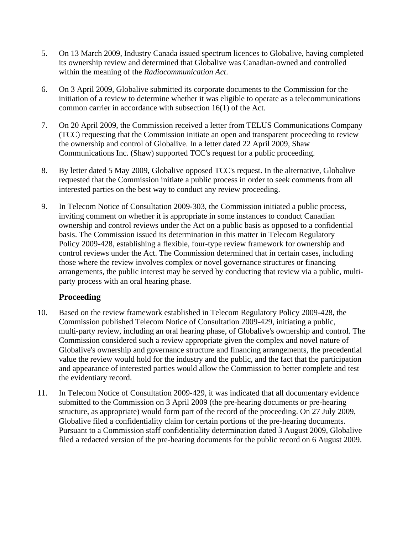- 5. On 13 March 2009, Industry Canada issued spectrum licences to Globalive, having completed its ownership review and determined that Globalive was Canadian-owned and controlled within the meaning of the *Radiocommunication Act*.
- 6. On 3 April 2009, Globalive submitted its corporate documents to the Commission for the initiation of a review to determine whether it was eligible to operate as a telecommunications common carrier in accordance with subsection 16(1) of the Act.
- 7. On 20 April 2009, the Commission received a letter from TELUS Communications Company (TCC) requesting that the Commission initiate an open and transparent proceeding to review the ownership and control of Globalive. In a letter dated 22 April 2009, Shaw Communications Inc. (Shaw) supported TCC's request for a public proceeding.
- 8. By letter dated 5 May 2009, Globalive opposed TCC's request. In the alternative, Globalive requested that the Commission initiate a public process in order to seek comments from all interested parties on the best way to conduct any review proceeding.
- 9. In Telecom Notice of Consultation 2009-303, the Commission initiated a public process, inviting comment on whether it is appropriate in some instances to conduct Canadian ownership and control reviews under the Act on a public basis as opposed to a confidential basis. The Commission issued its determination in this matter in Telecom Regulatory Policy 2009-428, establishing a flexible, four-type review framework for ownership and control reviews under the Act. The Commission determined that in certain cases, including those where the review involves complex or novel governance structures or financing arrangements, the public interest may be served by conducting that review via a public, multiparty process with an oral hearing phase.

# **Proceeding**

- 10. Based on the review framework established in Telecom Regulatory Policy 2009-428, the Commission published Telecom Notice of Consultation 2009-429, initiating a public, multi-party review, including an oral hearing phase, of Globalive's ownership and control. The Commission considered such a review appropriate given the complex and novel nature of Globalive's ownership and governance structure and financing arrangements, the precedential value the review would hold for the industry and the public, and the fact that the participation and appearance of interested parties would allow the Commission to better complete and test the evidentiary record.
- 11. In Telecom Notice of Consultation 2009-429, it was indicated that all documentary evidence submitted to the Commission on 3 April 2009 (the pre-hearing documents or pre-hearing structure, as appropriate) would form part of the record of the proceeding. On 27 July 2009, Globalive filed a confidentiality claim for certain portions of the pre-hearing documents. Pursuant to a Commission staff confidentiality determination dated 3 August 2009, Globalive filed a redacted version of the pre-hearing documents for the public record on 6 August 2009.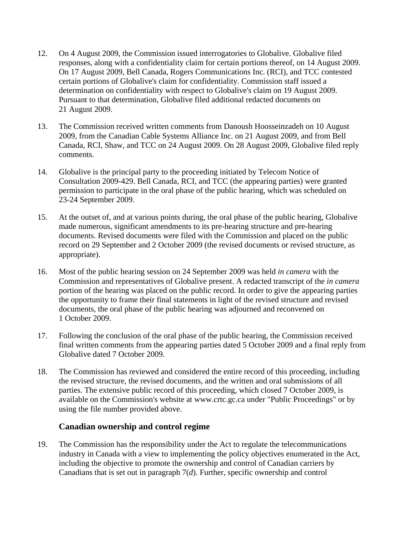- 12. On 4 August 2009, the Commission issued interrogatories to Globalive. Globalive filed responses, along with a confidentiality claim for certain portions thereof, on 14 August 2009. On 17 August 2009, Bell Canada, Rogers Communications Inc. (RCI), and TCC contested certain portions of Globalive's claim for confidentiality. Commission staff issued a determination on confidentiality with respect to Globalive's claim on 19 August 2009. Pursuant to that determination, Globalive filed additional redacted documents on 21 August 2009.
- 13. The Commission received written comments from Danoush Hoosseinzadeh on 10 August 2009, from the Canadian Cable Systems Alliance Inc. on 21 August 2009, and from Bell Canada, RCI, Shaw, and TCC on 24 August 2009. On 28 August 2009, Globalive filed reply comments.
- 14. Globalive is the principal party to the proceeding initiated by Telecom Notice of Consultation 2009-429. Bell Canada, RCI, and TCC (the appearing parties) were granted permission to participate in the oral phase of the public hearing, which was scheduled on 23-24 September 2009.
- 15. At the outset of, and at various points during, the oral phase of the public hearing, Globalive made numerous, significant amendments to its pre-hearing structure and pre-hearing documents. Revised documents were filed with the Commission and placed on the public record on 29 September and 2 October 2009 (the revised documents or revised structure, as appropriate).
- 16. Most of the public hearing session on 24 September 2009 was held *in camera* with the Commission and representatives of Globalive present. A redacted transcript of the *in camera* portion of the hearing was placed on the public record. In order to give the appearing parties the opportunity to frame their final statements in light of the revised structure and revised documents, the oral phase of the public hearing was adjourned and reconvened on 1 October 2009.
- 17. Following the conclusion of the oral phase of the public hearing, the Commission received final written comments from the appearing parties dated 5 October 2009 and a final reply from Globalive dated 7 October 2009.
- 18. The Commission has reviewed and considered the entire record of this proceeding, including the revised structure, the revised documents, and the written and oral submissions of all parties. The extensive public record of this proceeding, which closed 7 October 2009, is available on the Commission's website at www.crtc.gc.ca under "Public Proceedings" or by using the file number provided above.

#### **Canadian ownership and control regime**

19. The Commission has the responsibility under the Act to regulate the telecommunications industry in Canada with a view to implementing the policy objectives enumerated in the Act, including the objective to promote the ownership and control of Canadian carriers by Canadians that is set out in paragraph 7(*d*). Further, specific ownership and control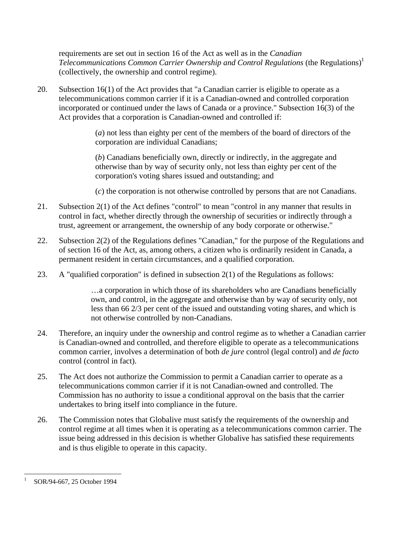requirements are set out in section 16 of the Act as well as in the *Canadian Telecommunications Common Carrier Ownership and Control Regulations* (the Regulations)<sup>1</sup> (collectively, the ownership and control regime).

20. Subsection 16(1) of the Act provides that "a Canadian carrier is eligible to operate as a telecommunications common carrier if it is a Canadian-owned and controlled corporation incorporated or continued under the laws of Canada or a province." Subsection 16(3) of the Act provides that a corporation is Canadian-owned and controlled if:

> (*a*) not less than eighty per cent of the members of the board of directors of the corporation are individual Canadians;

 (*b*) Canadians beneficially own, directly or indirectly, in the aggregate and otherwise than by way of security only, not less than eighty per cent of the corporation's voting shares issued and outstanding; and

(*c*) the corporation is not otherwise controlled by persons that are not Canadians.

- 21. Subsection 2(1) of the Act defines "control" to mean "control in any manner that results in control in fact, whether directly through the ownership of securities or indirectly through a trust, agreement or arrangement, the ownership of any body corporate or otherwise."
- 22. Subsection 2(2) of the Regulations defines "Canadian," for the purpose of the Regulations and of section 16 of the Act, as, among others, a citizen who is ordinarily resident in Canada, a permanent resident in certain circumstances, and a qualified corporation.
- 23. A "qualified corporation" is defined in subsection 2(1) of the Regulations as follows:

 …a corporation in which those of its shareholders who are Canadians beneficially own, and control, in the aggregate and otherwise than by way of security only, not less than 66 2/3 per cent of the issued and outstanding voting shares, and which is not otherwise controlled by non-Canadians.

- 24. Therefore, an inquiry under the ownership and control regime as to whether a Canadian carrier is Canadian-owned and controlled, and therefore eligible to operate as a telecommunications common carrier, involves a determination of both *de jure* control (legal control) and *de facto* control (control in fact).
- 25. The Act does not authorize the Commission to permit a Canadian carrier to operate as a telecommunications common carrier if it is not Canadian-owned and controlled. The Commission has no authority to issue a conditional approval on the basis that the carrier undertakes to bring itself into compliance in the future.
- 26. The Commission notes that Globalive must satisfy the requirements of the ownership and control regime at all times when it is operating as a telecommunications common carrier. The issue being addressed in this decision is whether Globalive has satisfied these requirements and is thus eligible to operate in this capacity.

 $\overline{a}$ 

<sup>1</sup> SOR/94-667, 25 October 1994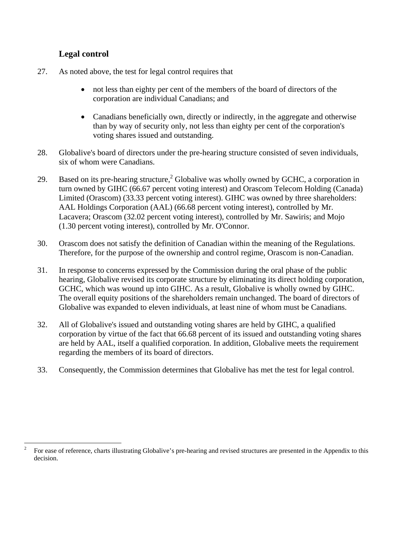# **Legal control**

- 27. As noted above, the test for legal control requires that
	- not less than eighty per cent of the members of the board of directors of the corporation are individual Canadians; and
	- Canadians beneficially own, directly or indirectly, in the aggregate and otherwise than by way of security only, not less than eighty per cent of the corporation's voting shares issued and outstanding.
- 28. Globalive's board of directors under the pre-hearing structure consisted of seven individuals, six of whom were Canadians.
- 29. Based on its pre-hearing structure,<sup>2</sup> Globalive was wholly owned by GCHC, a corporation in turn owned by GIHC (66.67 percent voting interest) and Orascom Telecom Holding (Canada) Limited (Orascom) (33.33 percent voting interest). GIHC was owned by three shareholders: AAL Holdings Corporation (AAL) (66.68 percent voting interest), controlled by Mr. Lacavera; Orascom (32.02 percent voting interest), controlled by Mr. Sawiris; and Mojo (1.30 percent voting interest), controlled by Mr. O'Connor.
- 30. Orascom does not satisfy the definition of Canadian within the meaning of the Regulations. Therefore, for the purpose of the ownership and control regime, Orascom is non-Canadian.
- 31. In response to concerns expressed by the Commission during the oral phase of the public hearing, Globalive revised its corporate structure by eliminating its direct holding corporation, GCHC, which was wound up into GIHC. As a result, Globalive is wholly owned by GIHC. The overall equity positions of the shareholders remain unchanged. The board of directors of Globalive was expanded to eleven individuals, at least nine of whom must be Canadians.
- 32. All of Globalive's issued and outstanding voting shares are held by GIHC, a qualified corporation by virtue of the fact that 66.68 percent of its issued and outstanding voting shares are held by AAL, itself a qualified corporation. In addition, Globalive meets the requirement regarding the members of its board of directors.
- 33. Consequently, the Commission determines that Globalive has met the test for legal control.

 $\frac{1}{2}$  For ease of reference, charts illustrating Globalive's pre-hearing and revised structures are presented in the Appendix to this decision.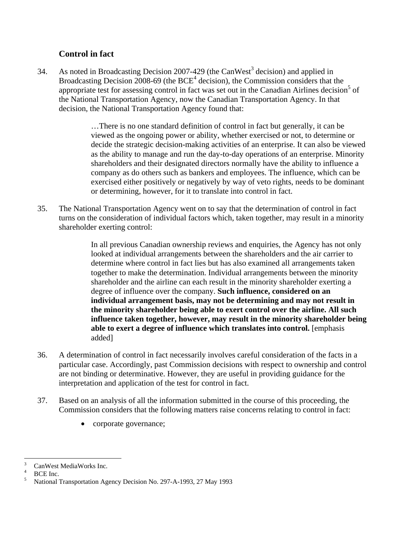# **Control in fact**

34. As noted in Broadcasting Decision 2007-429 (the CanWest<sup>3</sup> decision) and applied in Broadcasting Decision 2008-69 (the  $BCE<sup>4</sup>$  decision), the Commission considers that the appropriate test for assessing control in fact was set out in the Canadian Airlines decision<sup>5</sup> of the National Transportation Agency, now the Canadian Transportation Agency. In that decision, the National Transportation Agency found that:

> …There is no one standard definition of control in fact but generally, it can be viewed as the ongoing power or ability, whether exercised or not, to determine or decide the strategic decision-making activities of an enterprise. It can also be viewed as the ability to manage and run the day-to-day operations of an enterprise. Minority shareholders and their designated directors normally have the ability to influence a company as do others such as bankers and employees. The influence, which can be exercised either positively or negatively by way of veto rights, needs to be dominant or determining, however, for it to translate into control in fact.

35. The National Transportation Agency went on to say that the determination of control in fact turns on the consideration of individual factors which, taken together, may result in a minority shareholder exerting control:

> In all previous Canadian ownership reviews and enquiries, the Agency has not only looked at individual arrangements between the shareholders and the air carrier to determine where control in fact lies but has also examined all arrangements taken together to make the determination. Individual arrangements between the minority shareholder and the airline can each result in the minority shareholder exerting a degree of influence over the company. **Such influence, considered on an individual arrangement basis, may not be determining and may not result in the minority shareholder being able to exert control over the airline. All such influence taken together, however, may result in the minority shareholder being able to exert a degree of influence which translates into control.** [emphasis added]

- 36. A determination of control in fact necessarily involves careful consideration of the facts in a particular case. Accordingly, past Commission decisions with respect to ownership and control are not binding or determinative. However, they are useful in providing guidance for the interpretation and application of the test for control in fact.
- 37. Based on an analysis of all the information submitted in the course of this proceeding, the Commission considers that the following matters raise concerns relating to control in fact:
	- corporate governance;

 $\frac{1}{3}$ CanWest MediaWorks Inc.

<sup>4</sup> BCE Inc.

<sup>5</sup> National Transportation Agency Decision No. 297-A-1993, 27 May 1993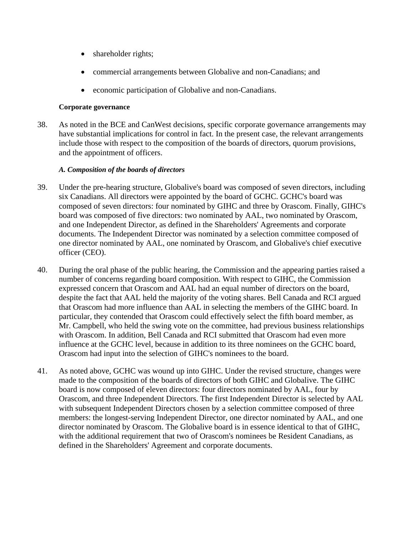- shareholder rights;
- commercial arrangements between Globalive and non-Canadians; and
- economic participation of Globalive and non-Canadians.

#### **Corporate governance**

38. As noted in the BCE and CanWest decisions, specific corporate governance arrangements may have substantial implications for control in fact. In the present case, the relevant arrangements include those with respect to the composition of the boards of directors, quorum provisions, and the appointment of officers.

#### *A. Composition of the boards of directors*

- 39. Under the pre-hearing structure, Globalive's board was composed of seven directors, including six Canadians. All directors were appointed by the board of GCHC. GCHC's board was composed of seven directors: four nominated by GIHC and three by Orascom. Finally, GIHC's board was composed of five directors: two nominated by AAL, two nominated by Orascom, and one Independent Director, as defined in the Shareholders' Agreements and corporate documents. The Independent Director was nominated by a selection committee composed of one director nominated by AAL, one nominated by Orascom, and Globalive's chief executive officer (CEO).
- 40. During the oral phase of the public hearing, the Commission and the appearing parties raised a number of concerns regarding board composition. With respect to GIHC, the Commission expressed concern that Orascom and AAL had an equal number of directors on the board, despite the fact that AAL held the majority of the voting shares. Bell Canada and RCI argued that Orascom had more influence than AAL in selecting the members of the GIHC board. In particular, they contended that Orascom could effectively select the fifth board member, as Mr. Campbell, who held the swing vote on the committee, had previous business relationships with Orascom. In addition, Bell Canada and RCI submitted that Orascom had even more influence at the GCHC level, because in addition to its three nominees on the GCHC board, Orascom had input into the selection of GIHC's nominees to the board.
- 41. As noted above, GCHC was wound up into GIHC. Under the revised structure, changes were made to the composition of the boards of directors of both GIHC and Globalive. The GIHC board is now composed of eleven directors: four directors nominated by AAL, four by Orascom, and three Independent Directors. The first Independent Director is selected by AAL with subsequent Independent Directors chosen by a selection committee composed of three members: the longest-serving Independent Director, one director nominated by AAL, and one director nominated by Orascom. The Globalive board is in essence identical to that of GIHC, with the additional requirement that two of Orascom's nominees be Resident Canadians, as defined in the Shareholders' Agreement and corporate documents.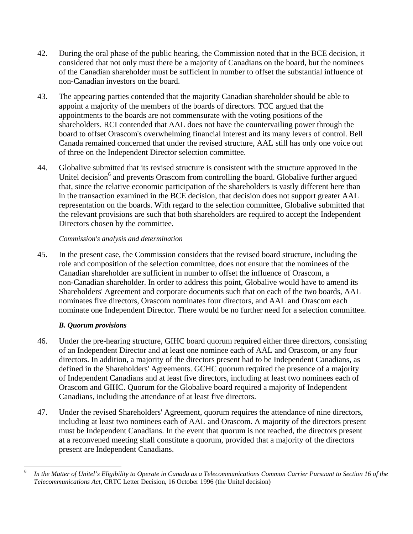- 42. During the oral phase of the public hearing, the Commission noted that in the BCE decision, it considered that not only must there be a majority of Canadians on the board, but the nominees of the Canadian shareholder must be sufficient in number to offset the substantial influence of non-Canadian investors on the board.
- 43. The appearing parties contended that the majority Canadian shareholder should be able to appoint a majority of the members of the boards of directors. TCC argued that the appointments to the boards are not commensurate with the voting positions of the shareholders. RCI contended that AAL does not have the countervailing power through the board to offset Orascom's overwhelming financial interest and its many levers of control. Bell Canada remained concerned that under the revised structure, AAL still has only one voice out of three on the Independent Director selection committee.
- 44. Globalive submitted that its revised structure is consistent with the structure approved in the Unitel decision<sup>6</sup> and prevents Orascom from controlling the board. Globalive further argued that, since the relative economic participation of the shareholders is vastly different here than in the transaction examined in the BCE decision, that decision does not support greater AAL representation on the boards. With regard to the selection committee, Globalive submitted that the relevant provisions are such that both shareholders are required to accept the Independent Directors chosen by the committee.

45. In the present case, the Commission considers that the revised board structure, including the role and composition of the selection committee, does not ensure that the nominees of the Canadian shareholder are sufficient in number to offset the influence of Orascom, a non-Canadian shareholder. In order to address this point, Globalive would have to amend its Shareholders' Agreement and corporate documents such that on each of the two boards, AAL nominates five directors, Orascom nominates four directors, and AAL and Orascom each nominate one Independent Director. There would be no further need for a selection committee.

#### *B. Quorum provisions*

- 46. Under the pre-hearing structure, GIHC board quorum required either three directors, consisting of an Independent Director and at least one nominee each of AAL and Orascom, or any four directors. In addition, a majority of the directors present had to be Independent Canadians, as defined in the Shareholders' Agreements. GCHC quorum required the presence of a majority of Independent Canadians and at least five directors, including at least two nominees each of Orascom and GIHC. Quorum for the Globalive board required a majority of Independent Canadians, including the attendance of at least five directors.
- 47. Under the revised Shareholders' Agreement, quorum requires the attendance of nine directors, including at least two nominees each of AAL and Orascom. A majority of the directors present must be Independent Canadians. In the event that quorum is not reached, the directors present at a reconvened meeting shall constitute a quorum, provided that a majority of the directors present are Independent Canadians.

<sup>6</sup> <sup>6</sup> *In the Matter of Unitel's Eligibility to Operate in Canada as a Telecommunications Common Carrier Pursuant to Section 16 of the Telecommunications Act*, CRTC Letter Decision, 16 October 1996 (the Unitel decision)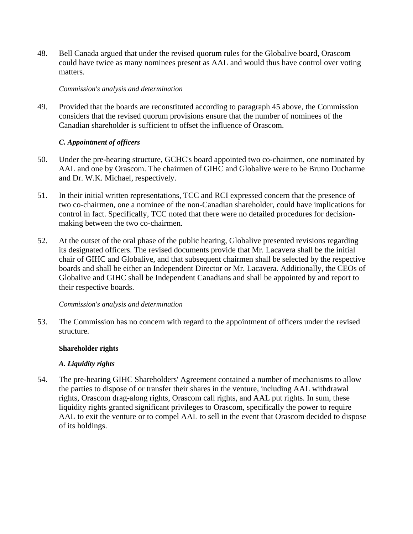48. Bell Canada argued that under the revised quorum rules for the Globalive board, Orascom could have twice as many nominees present as AAL and would thus have control over voting matters.

#### *Commission's analysis and determination*

49. Provided that the boards are reconstituted according to paragraph 45 above, the Commission considers that the revised quorum provisions ensure that the number of nominees of the Canadian shareholder is sufficient to offset the influence of Orascom.

#### *C. Appointment of officers*

- 50. Under the pre-hearing structure, GCHC's board appointed two co-chairmen, one nominated by AAL and one by Orascom. The chairmen of GIHC and Globalive were to be Bruno Ducharme and Dr. W.K. Michael, respectively.
- 51. In their initial written representations, TCC and RCI expressed concern that the presence of two co-chairmen, one a nominee of the non-Canadian shareholder, could have implications for control in fact. Specifically, TCC noted that there were no detailed procedures for decisionmaking between the two co-chairmen.
- 52. At the outset of the oral phase of the public hearing, Globalive presented revisions regarding its designated officers. The revised documents provide that Mr. Lacavera shall be the initial chair of GIHC and Globalive, and that subsequent chairmen shall be selected by the respective boards and shall be either an Independent Director or Mr. Lacavera. Additionally, the CEOs of Globalive and GIHC shall be Independent Canadians and shall be appointed by and report to their respective boards.

#### *Commission's analysis and determination*

53. The Commission has no concern with regard to the appointment of officers under the revised structure.

#### **Shareholder rights**

#### *A. Liquidity rights*

54. The pre-hearing GIHC Shareholders' Agreement contained a number of mechanisms to allow the parties to dispose of or transfer their shares in the venture, including AAL withdrawal rights, Orascom drag-along rights, Orascom call rights, and AAL put rights. In sum, these liquidity rights granted significant privileges to Orascom, specifically the power to require AAL to exit the venture or to compel AAL to sell in the event that Orascom decided to dispose of its holdings.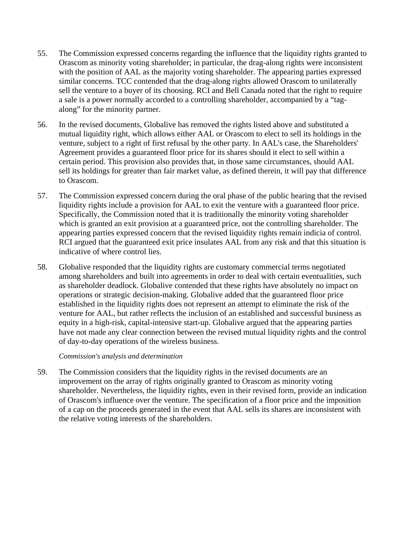- 55. The Commission expressed concerns regarding the influence that the liquidity rights granted to Orascom as minority voting shareholder; in particular, the drag-along rights were inconsistent with the position of AAL as the majority voting shareholder. The appearing parties expressed similar concerns. TCC contended that the drag-along rights allowed Orascom to unilaterally sell the venture to a buyer of its choosing. RCI and Bell Canada noted that the right to require a sale is a power normally accorded to a controlling shareholder, accompanied by a "tagalong" for the minority partner.
- 56. In the revised documents, Globalive has removed the rights listed above and substituted a mutual liquidity right, which allows either AAL or Orascom to elect to sell its holdings in the venture, subject to a right of first refusal by the other party. In AAL's case, the Shareholders' Agreement provides a guaranteed floor price for its shares should it elect to sell within a certain period. This provision also provides that, in those same circumstances, should AAL sell its holdings for greater than fair market value, as defined therein, it will pay that difference to Orascom.
- 57. The Commission expressed concern during the oral phase of the public hearing that the revised liquidity rights include a provision for AAL to exit the venture with a guaranteed floor price. Specifically, the Commission noted that it is traditionally the minority voting shareholder which is granted an exit provision at a guaranteed price, not the controlling shareholder. The appearing parties expressed concern that the revised liquidity rights remain indicia of control. RCI argued that the guaranteed exit price insulates AAL from any risk and that this situation is indicative of where control lies.
- 58. Globalive responded that the liquidity rights are customary commercial terms negotiated among shareholders and built into agreements in order to deal with certain eventualities, such as shareholder deadlock. Globalive contended that these rights have absolutely no impact on operations or strategic decision-making. Globalive added that the guaranteed floor price established in the liquidity rights does not represent an attempt to eliminate the risk of the venture for AAL, but rather reflects the inclusion of an established and successful business as equity in a high-risk, capital-intensive start-up. Globalive argued that the appearing parties have not made any clear connection between the revised mutual liquidity rights and the control of day-to-day operations of the wireless business.

59. The Commission considers that the liquidity rights in the revised documents are an improvement on the array of rights originally granted to Orascom as minority voting shareholder. Nevertheless, the liquidity rights, even in their revised form, provide an indication of Orascom's influence over the venture. The specification of a floor price and the imposition of a cap on the proceeds generated in the event that AAL sells its shares are inconsistent with the relative voting interests of the shareholders.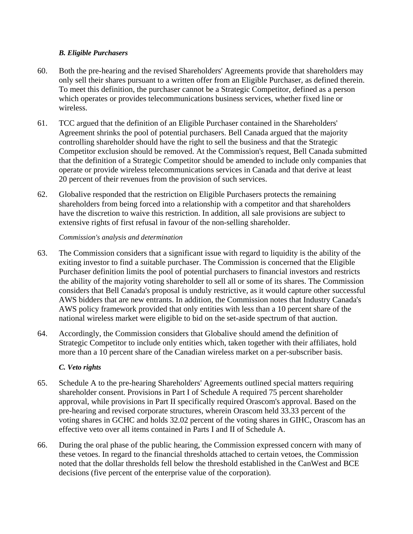#### *B. Eligible Purchasers*

- 60. Both the pre-hearing and the revised Shareholders' Agreements provide that shareholders may only sell their shares pursuant to a written offer from an Eligible Purchaser, as defined therein. To meet this definition, the purchaser cannot be a Strategic Competitor, defined as a person which operates or provides telecommunications business services, whether fixed line or wireless.
- 61. TCC argued that the definition of an Eligible Purchaser contained in the Shareholders' Agreement shrinks the pool of potential purchasers. Bell Canada argued that the majority controlling shareholder should have the right to sell the business and that the Strategic Competitor exclusion should be removed. At the Commission's request, Bell Canada submitted that the definition of a Strategic Competitor should be amended to include only companies that operate or provide wireless telecommunications services in Canada and that derive at least 20 percent of their revenues from the provision of such services.
- 62. Globalive responded that the restriction on Eligible Purchasers protects the remaining shareholders from being forced into a relationship with a competitor and that shareholders have the discretion to waive this restriction. In addition, all sale provisions are subject to extensive rights of first refusal in favour of the non-selling shareholder.

#### *Commission's analysis and determination*

- 63. The Commission considers that a significant issue with regard to liquidity is the ability of the exiting investor to find a suitable purchaser. The Commission is concerned that the Eligible Purchaser definition limits the pool of potential purchasers to financial investors and restricts the ability of the majority voting shareholder to sell all or some of its shares. The Commission considers that Bell Canada's proposal is unduly restrictive, as it would capture other successful AWS bidders that are new entrants. In addition, the Commission notes that Industry Canada's AWS policy framework provided that only entities with less than a 10 percent share of the national wireless market were eligible to bid on the set-aside spectrum of that auction.
- 64. Accordingly, the Commission considers that Globalive should amend the definition of Strategic Competitor to include only entities which, taken together with their affiliates, hold more than a 10 percent share of the Canadian wireless market on a per-subscriber basis.

#### *C. Veto rights*

- 65. Schedule A to the pre-hearing Shareholders' Agreements outlined special matters requiring shareholder consent. Provisions in Part I of Schedule A required 75 percent shareholder approval, while provisions in Part II specifically required Orascom's approval. Based on the pre-hearing and revised corporate structures, wherein Orascom held 33.33 percent of the voting shares in GCHC and holds 32.02 percent of the voting shares in GIHC, Orascom has an effective veto over all items contained in Parts I and II of Schedule A.
- 66. During the oral phase of the public hearing, the Commission expressed concern with many of these vetoes. In regard to the financial thresholds attached to certain vetoes, the Commission noted that the dollar thresholds fell below the threshold established in the CanWest and BCE decisions (five percent of the enterprise value of the corporation).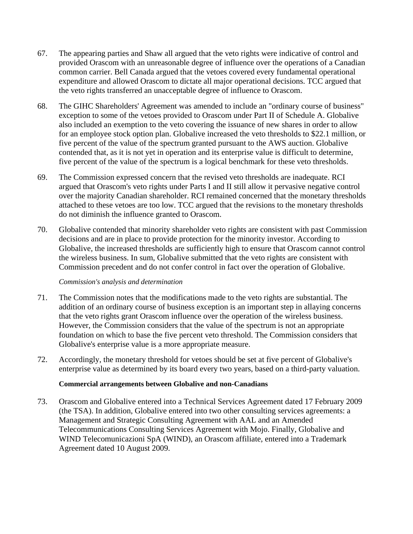- 67. The appearing parties and Shaw all argued that the veto rights were indicative of control and provided Orascom with an unreasonable degree of influence over the operations of a Canadian common carrier. Bell Canada argued that the vetoes covered every fundamental operational expenditure and allowed Orascom to dictate all major operational decisions. TCC argued that the veto rights transferred an unacceptable degree of influence to Orascom.
- 68. The GIHC Shareholders' Agreement was amended to include an "ordinary course of business" exception to some of the vetoes provided to Orascom under Part II of Schedule A. Globalive also included an exemption to the veto covering the issuance of new shares in order to allow for an employee stock option plan. Globalive increased the veto thresholds to \$22.1 million, or five percent of the value of the spectrum granted pursuant to the AWS auction. Globalive contended that, as it is not yet in operation and its enterprise value is difficult to determine, five percent of the value of the spectrum is a logical benchmark for these veto thresholds.
- 69. The Commission expressed concern that the revised veto thresholds are inadequate. RCI argued that Orascom's veto rights under Parts I and II still allow it pervasive negative control over the majority Canadian shareholder. RCI remained concerned that the monetary thresholds attached to these vetoes are too low. TCC argued that the revisions to the monetary thresholds do not diminish the influence granted to Orascom.
- 70. Globalive contended that minority shareholder veto rights are consistent with past Commission decisions and are in place to provide protection for the minority investor. According to Globalive, the increased thresholds are sufficiently high to ensure that Orascom cannot control the wireless business. In sum, Globalive submitted that the veto rights are consistent with Commission precedent and do not confer control in fact over the operation of Globalive.

- 71. The Commission notes that the modifications made to the veto rights are substantial. The addition of an ordinary course of business exception is an important step in allaying concerns that the veto rights grant Orascom influence over the operation of the wireless business. However, the Commission considers that the value of the spectrum is not an appropriate foundation on which to base the five percent veto threshold. The Commission considers that Globalive's enterprise value is a more appropriate measure.
- 72. Accordingly, the monetary threshold for vetoes should be set at five percent of Globalive's enterprise value as determined by its board every two years, based on a third-party valuation.

#### **Commercial arrangements between Globalive and non-Canadians**

73. Orascom and Globalive entered into a Technical Services Agreement dated 17 February 2009 (the TSA). In addition, Globalive entered into two other consulting services agreements: a Management and Strategic Consulting Agreement with AAL and an Amended Telecommunications Consulting Services Agreement with Mojo. Finally, Globalive and WIND Telecomunicazioni SpA (WIND), an Orascom affiliate, entered into a Trademark Agreement dated 10 August 2009.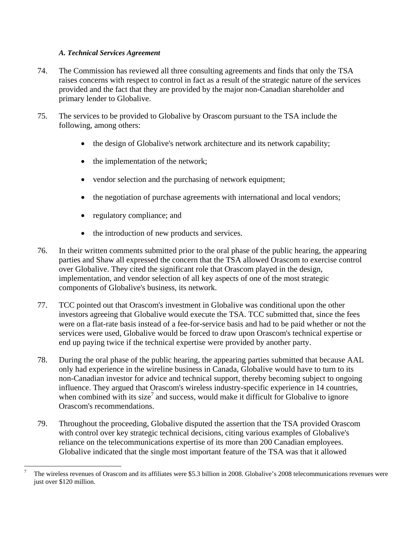#### *A. Technical Services Agreement*

- 74. The Commission has reviewed all three consulting agreements and finds that only the TSA raises concerns with respect to control in fact as a result of the strategic nature of the services provided and the fact that they are provided by the major non-Canadian shareholder and primary lender to Globalive.
- 75. The services to be provided to Globalive by Orascom pursuant to the TSA include the following, among others:
	- the design of Globalive's network architecture and its network capability;
	- the implementation of the network;
	- vendor selection and the purchasing of network equipment;
	- the negotiation of purchase agreements with international and local vendors;
	- regulatory compliance; and

1

- the introduction of new products and services.
- 76. In their written comments submitted prior to the oral phase of the public hearing, the appearing parties and Shaw all expressed the concern that the TSA allowed Orascom to exercise control over Globalive. They cited the significant role that Orascom played in the design, implementation, and vendor selection of all key aspects of one of the most strategic components of Globalive's business, its network.
- 77. TCC pointed out that Orascom's investment in Globalive was conditional upon the other investors agreeing that Globalive would execute the TSA. TCC submitted that, since the fees were on a flat-rate basis instead of a fee-for-service basis and had to be paid whether or not the services were used, Globalive would be forced to draw upon Orascom's technical expertise or end up paying twice if the technical expertise were provided by another party.
- 78. During the oral phase of the public hearing, the appearing parties submitted that because AAL only had experience in the wireline business in Canada, Globalive would have to turn to its non-Canadian investor for advice and technical support, thereby becoming subject to ongoing influence. They argued that Orascom's wireless industry-specific experience in 14 countries, when combined with its size<sup>7</sup> and success, would make it difficult for Globalive to ignore Orascom's recommendations.
- 79. Throughout the proceeding, Globalive disputed the assertion that the TSA provided Orascom with control over key strategic technical decisions, citing various examples of Globalive's reliance on the telecommunications expertise of its more than 200 Canadian employees. Globalive indicated that the single most important feature of the TSA was that it allowed

<sup>7</sup> The wireless revenues of Orascom and its affiliates were \$5.3 billion in 2008. Globalive's 2008 telecommunications revenues were just over \$120 million.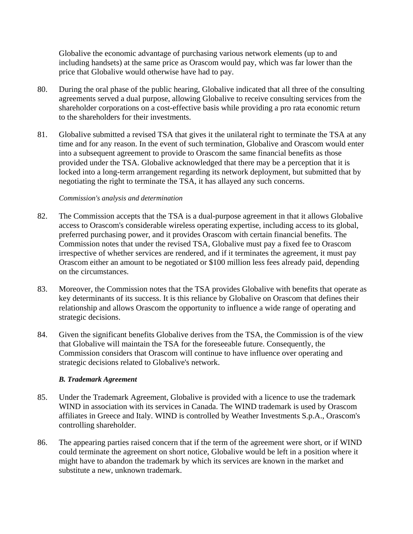Globalive the economic advantage of purchasing various network elements (up to and including handsets) at the same price as Orascom would pay, which was far lower than the price that Globalive would otherwise have had to pay.

- 80. During the oral phase of the public hearing, Globalive indicated that all three of the consulting agreements served a dual purpose, allowing Globalive to receive consulting services from the shareholder corporations on a cost-effective basis while providing a pro rata economic return to the shareholders for their investments.
- 81. Globalive submitted a revised TSA that gives it the unilateral right to terminate the TSA at any time and for any reason. In the event of such termination, Globalive and Orascom would enter into a subsequent agreement to provide to Orascom the same financial benefits as those provided under the TSA. Globalive acknowledged that there may be a perception that it is locked into a long-term arrangement regarding its network deployment, but submitted that by negotiating the right to terminate the TSA, it has allayed any such concerns.

#### *Commission's analysis and determination*

- 82. The Commission accepts that the TSA is a dual-purpose agreement in that it allows Globalive access to Orascom's considerable wireless operating expertise, including access to its global, preferred purchasing power, and it provides Orascom with certain financial benefits. The Commission notes that under the revised TSA, Globalive must pay a fixed fee to Orascom irrespective of whether services are rendered, and if it terminates the agreement, it must pay Orascom either an amount to be negotiated or \$100 million less fees already paid, depending on the circumstances.
- 83. Moreover, the Commission notes that the TSA provides Globalive with benefits that operate as key determinants of its success. It is this reliance by Globalive on Orascom that defines their relationship and allows Orascom the opportunity to influence a wide range of operating and strategic decisions.
- 84. Given the significant benefits Globalive derives from the TSA, the Commission is of the view that Globalive will maintain the TSA for the foreseeable future. Consequently, the Commission considers that Orascom will continue to have influence over operating and strategic decisions related to Globalive's network.

#### *B. Trademark Agreement*

- 85. Under the Trademark Agreement, Globalive is provided with a licence to use the trademark WIND in association with its services in Canada. The WIND trademark is used by Orascom affiliates in Greece and Italy. WIND is controlled by Weather Investments S.p.A., Orascom's controlling shareholder.
- 86. The appearing parties raised concern that if the term of the agreement were short, or if WIND could terminate the agreement on short notice, Globalive would be left in a position where it might have to abandon the trademark by which its services are known in the market and substitute a new, unknown trademark.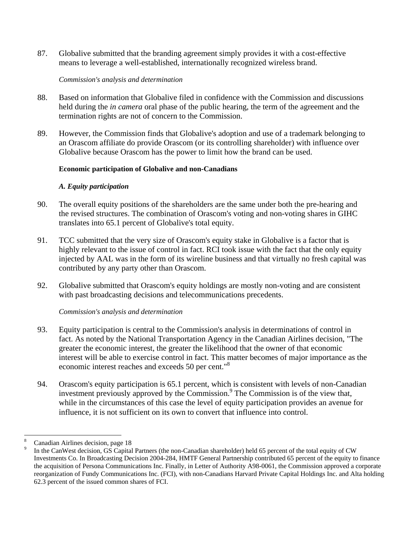87. Globalive submitted that the branding agreement simply provides it with a cost-effective means to leverage a well-established, internationally recognized wireless brand.

#### *Commission's analysis and determination*

- 88. Based on information that Globalive filed in confidence with the Commission and discussions held during the *in camera* oral phase of the public hearing, the term of the agreement and the termination rights are not of concern to the Commission.
- 89. However, the Commission finds that Globalive's adoption and use of a trademark belonging to an Orascom affiliate do provide Orascom (or its controlling shareholder) with influence over Globalive because Orascom has the power to limit how the brand can be used.

#### **Economic participation of Globalive and non-Canadians**

#### *A. Equity participation*

- 90. The overall equity positions of the shareholders are the same under both the pre-hearing and the revised structures. The combination of Orascom's voting and non-voting shares in GIHC translates into 65.1 percent of Globalive's total equity.
- 91. TCC submitted that the very size of Orascom's equity stake in Globalive is a factor that is highly relevant to the issue of control in fact. RCI took issue with the fact that the only equity injected by AAL was in the form of its wireline business and that virtually no fresh capital was contributed by any party other than Orascom.
- 92. Globalive submitted that Orascom's equity holdings are mostly non-voting and are consistent with past broadcasting decisions and telecommunications precedents.

#### *Commission's analysis and determination*

- 93. Equity participation is central to the Commission's analysis in determinations of control in fact. As noted by the National Transportation Agency in the Canadian Airlines decision, "The greater the economic interest, the greater the likelihood that the owner of that economic interest will be able to exercise control in fact. This matter becomes of major importance as the economic interest reaches and exceeds 50 per cent."<sup>8</sup>
- 94. Orascom's equity participation is 65.1 percent, which is consistent with levels of non-Canadian investment previously approved by the Commission.<sup>9</sup> The Commission is of the view that, while in the circumstances of this case the level of equity participation provides an avenue for influence, it is not sufficient on its own to convert that influence into control.

 $\overline{a}$ 8 Canadian Airlines decision, page 18

<sup>9</sup> In the CanWest decision, GS Capital Partners (the non-Canadian shareholder) held 65 percent of the total equity of CW Investments Co. In Broadcasting Decision 2004-284, HMTF General Partnership contributed 65 percent of the equity to finance the acquisition of Persona Communications Inc. Finally, in Letter of Authority A98-0061, the Commission approved a corporate reorganization of Fundy Communications Inc. (FCI), with non-Canadians Harvard Private Capital Holdings Inc. and Alta holding 62.3 percent of the issued common shares of FCI.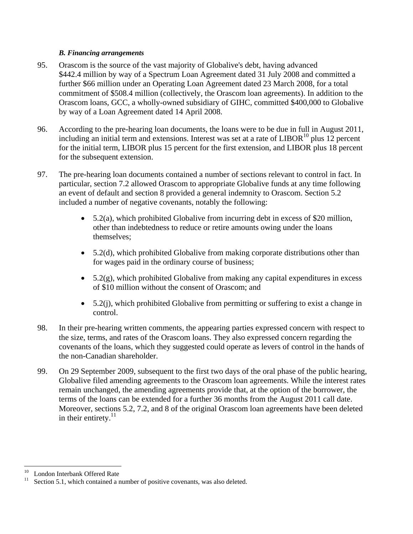#### *B. Financing arrangements*

- 95. Orascom is the source of the vast majority of Globalive's debt, having advanced \$442.4 million by way of a Spectrum Loan Agreement dated 31 July 2008 and committed a further \$66 million under an Operating Loan Agreement dated 23 March 2008, for a total commitment of \$508.4 million (collectively, the Orascom loan agreements). In addition to the Orascom loans, GCC, a wholly-owned subsidiary of GIHC, committed \$400,000 to Globalive by way of a Loan Agreement dated 14 April 2008.
- 96. According to the pre-hearing loan documents, the loans were to be due in full in August 2011, including an initial term and extensions. Interest was set at a rate of  $LIBOR<sup>10</sup>$  plus 12 percent for the initial term, LIBOR plus 15 percent for the first extension, and LIBOR plus 18 percent for the subsequent extension.
- 97. The pre-hearing loan documents contained a number of sections relevant to control in fact. In particular, section 7.2 allowed Orascom to appropriate Globalive funds at any time following an event of default and section 8 provided a general indemnity to Orascom. Section 5.2 included a number of negative covenants, notably the following:
	- 5.2(a), which prohibited Globalive from incurring debt in excess of \$20 million, other than indebtedness to reduce or retire amounts owing under the loans themselves;
	- 5.2(d), which prohibited Globalive from making corporate distributions other than for wages paid in the ordinary course of business;
	- $5.2(g)$ , which prohibited Globalive from making any capital expenditures in excess of \$10 million without the consent of Orascom; and
	- $\bullet$  5.2(j), which prohibited Globalive from permitting or suffering to exist a change in control.
- 98. In their pre-hearing written comments, the appearing parties expressed concern with respect to the size, terms, and rates of the Orascom loans. They also expressed concern regarding the covenants of the loans, which they suggested could operate as levers of control in the hands of the non-Canadian shareholder.
- 99. On 29 September 2009, subsequent to the first two days of the oral phase of the public hearing, Globalive filed amending agreements to the Orascom loan agreements. While the interest rates remain unchanged, the amending agreements provide that, at the option of the borrower, the terms of the loans can be extended for a further 36 months from the August 2011 call date. Moreover, sections 5.2, 7.2, and 8 of the original Orascom loan agreements have been deleted in their entirety. $^{11}$

 $\overline{a}$ 

<sup>&</sup>lt;sup>10</sup> London Interbank Offered Rate

Section 5.1, which contained a number of positive covenants, was also deleted.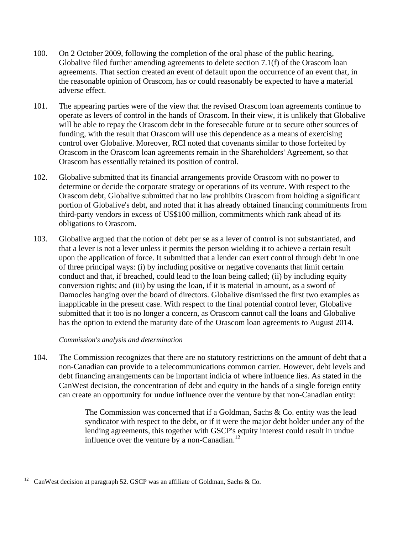- 100. On 2 October 2009, following the completion of the oral phase of the public hearing, Globalive filed further amending agreements to delete section 7.1(f) of the Orascom loan agreements. That section created an event of default upon the occurrence of an event that, in the reasonable opinion of Orascom, has or could reasonably be expected to have a material adverse effect.
- 101. The appearing parties were of the view that the revised Orascom loan agreements continue to operate as levers of control in the hands of Orascom. In their view, it is unlikely that Globalive will be able to repay the Orascom debt in the foreseeable future or to secure other sources of funding, with the result that Orascom will use this dependence as a means of exercising control over Globalive. Moreover, RCI noted that covenants similar to those forfeited by Orascom in the Orascom loan agreements remain in the Shareholders' Agreement, so that Orascom has essentially retained its position of control.
- 102. Globalive submitted that its financial arrangements provide Orascom with no power to determine or decide the corporate strategy or operations of its venture. With respect to the Orascom debt, Globalive submitted that no law prohibits Orascom from holding a significant portion of Globalive's debt, and noted that it has already obtained financing commitments from third-party vendors in excess of US\$100 million, commitments which rank ahead of its obligations to Orascom.
- 103. Globalive argued that the notion of debt per se as a lever of control is not substantiated, and that a lever is not a lever unless it permits the person wielding it to achieve a certain result upon the application of force. It submitted that a lender can exert control through debt in one of three principal ways: (i) by including positive or negative covenants that limit certain conduct and that, if breached, could lead to the loan being called; (ii) by including equity conversion rights; and (iii) by using the loan, if it is material in amount, as a sword of Damocles hanging over the board of directors. Globalive dismissed the first two examples as inapplicable in the present case. With respect to the final potential control lever, Globalive submitted that it too is no longer a concern, as Orascom cannot call the loans and Globalive has the option to extend the maturity date of the Orascom loan agreements to August 2014.

104. The Commission recognizes that there are no statutory restrictions on the amount of debt that a non-Canadian can provide to a telecommunications common carrier. However, debt levels and debt financing arrangements can be important indicia of where influence lies. As stated in the CanWest decision, the concentration of debt and equity in the hands of a single foreign entity can create an opportunity for undue influence over the venture by that non-Canadian entity:

> The Commission was concerned that if a Goldman, Sachs & Co. entity was the lead syndicator with respect to the debt, or if it were the major debt holder under any of the lending agreements, this together with GSCP's equity interest could result in undue influence over the venture by a non-Canadian. $^{12}$

 $12\,$ CanWest decision at paragraph 52. GSCP was an affiliate of Goldman, Sachs & Co.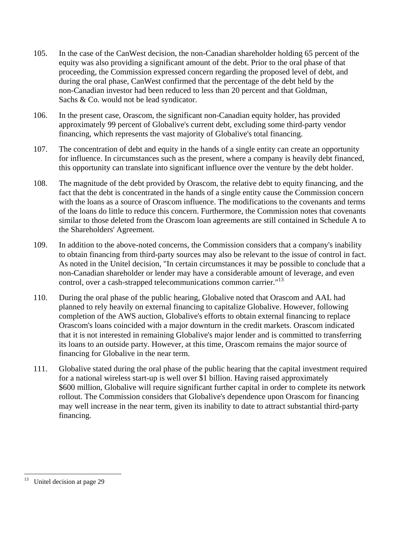- 105. In the case of the CanWest decision, the non-Canadian shareholder holding 65 percent of the equity was also providing a significant amount of the debt. Prior to the oral phase of that proceeding, the Commission expressed concern regarding the proposed level of debt, and during the oral phase, CanWest confirmed that the percentage of the debt held by the non-Canadian investor had been reduced to less than 20 percent and that Goldman, Sachs & Co. would not be lead syndicator.
- 106. In the present case, Orascom, the significant non-Canadian equity holder, has provided approximately 99 percent of Globalive's current debt, excluding some third-party vendor financing, which represents the vast majority of Globalive's total financing.
- 107. The concentration of debt and equity in the hands of a single entity can create an opportunity for influence. In circumstances such as the present, where a company is heavily debt financed, this opportunity can translate into significant influence over the venture by the debt holder.
- 108. The magnitude of the debt provided by Orascom, the relative debt to equity financing, and the fact that the debt is concentrated in the hands of a single entity cause the Commission concern with the loans as a source of Orascom influence. The modifications to the covenants and terms of the loans do little to reduce this concern. Furthermore, the Commission notes that covenants similar to those deleted from the Orascom loan agreements are still contained in Schedule A to the Shareholders' Agreement.
- 109. In addition to the above-noted concerns, the Commission considers that a company's inability to obtain financing from third-party sources may also be relevant to the issue of control in fact. As noted in the Unitel decision, "In certain circumstances it may be possible to conclude that a non-Canadian shareholder or lender may have a considerable amount of leverage, and even control, over a cash-strapped telecommunications common carrier."<sup>13</sup>
- 110. During the oral phase of the public hearing, Globalive noted that Orascom and AAL had planned to rely heavily on external financing to capitalize Globalive. However, following completion of the AWS auction, Globalive's efforts to obtain external financing to replace Orascom's loans coincided with a major downturn in the credit markets. Orascom indicated that it is not interested in remaining Globalive's major lender and is committed to transferring its loans to an outside party. However, at this time, Orascom remains the major source of financing for Globalive in the near term.
- 111. Globalive stated during the oral phase of the public hearing that the capital investment required for a national wireless start-up is well over \$1 billion. Having raised approximately \$600 million, Globalive will require significant further capital in order to complete its network rollout. The Commission considers that Globalive's dependence upon Orascom for financing may well increase in the near term, given its inability to date to attract substantial third-party financing.

<u>.</u>

<sup>&</sup>lt;sup>13</sup> Unitel decision at page 29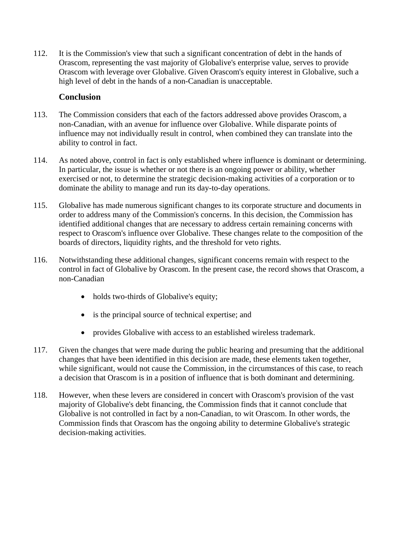112. It is the Commission's view that such a significant concentration of debt in the hands of Orascom, representing the vast majority of Globalive's enterprise value, serves to provide Orascom with leverage over Globalive. Given Orascom's equity interest in Globalive, such a high level of debt in the hands of a non-Canadian is unacceptable.

# **Conclusion**

- 113. The Commission considers that each of the factors addressed above provides Orascom, a non-Canadian, with an avenue for influence over Globalive. While disparate points of influence may not individually result in control, when combined they can translate into the ability to control in fact.
- 114. As noted above, control in fact is only established where influence is dominant or determining. In particular, the issue is whether or not there is an ongoing power or ability, whether exercised or not, to determine the strategic decision-making activities of a corporation or to dominate the ability to manage and run its day-to-day operations.
- 115. Globalive has made numerous significant changes to its corporate structure and documents in order to address many of the Commission's concerns. In this decision, the Commission has identified additional changes that are necessary to address certain remaining concerns with respect to Orascom's influence over Globalive. These changes relate to the composition of the boards of directors, liquidity rights, and the threshold for veto rights.
- 116. Notwithstanding these additional changes, significant concerns remain with respect to the control in fact of Globalive by Orascom. In the present case, the record shows that Orascom, a non-Canadian
	- holds two-thirds of Globalive's equity;
	- is the principal source of technical expertise; and
	- provides Globalive with access to an established wireless trademark.
- 117. Given the changes that were made during the public hearing and presuming that the additional changes that have been identified in this decision are made, these elements taken together, while significant, would not cause the Commission, in the circumstances of this case, to reach a decision that Orascom is in a position of influence that is both dominant and determining.
- 118. However, when these levers are considered in concert with Orascom's provision of the vast majority of Globalive's debt financing, the Commission finds that it cannot conclude that Globalive is not controlled in fact by a non-Canadian, to wit Orascom. In other words, the Commission finds that Orascom has the ongoing ability to determine Globalive's strategic decision-making activities.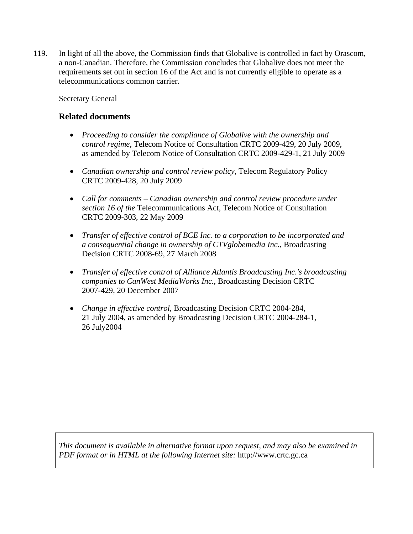119. In light of all the above, the Commission finds that Globalive is controlled in fact by Orascom, a non-Canadian. Therefore, the Commission concludes that Globalive does not meet the requirements set out in section 16 of the Act and is not currently eligible to operate as a telecommunications common carrier.

Secretary General

# **Related documents**

- *Proceeding to consider the compliance of Globalive with the ownership and control regime*, Telecom Notice of Consultation CRTC 2009-429, 20 July 2009, as amended by Telecom Notice of Consultation CRTC 2009-429-1, 21 July 2009
- *Canadian ownership and control review policy*, Telecom Regulatory Policy CRTC 2009-428, 20 July 2009
- *Call for comments Canadian ownership and control review procedure under section 16 of the* Telecommunications Act, Telecom Notice of Consultation CRTC 2009-303, 22 May 2009
- *Transfer of effective control of BCE Inc. to a corporation to be incorporated and a consequential change in ownership of CTVglobemedia Inc.*, Broadcasting Decision CRTC 2008-69, 27 March 2008
- *Transfer of effective control of Alliance Atlantis Broadcasting Inc.'s broadcasting companies to CanWest MediaWorks Inc.*, Broadcasting Decision CRTC 2007-429, 20 December 2007
- *Change in effective control*, Broadcasting Decision CRTC 2004-284, 21 July 2004, as amended by Broadcasting Decision CRTC 2004-284-1, 26 July2004

*This document is available in alternative format upon request, and may also be examined in PDF format or in HTML at the following Internet site:* http://www.crtc.gc.ca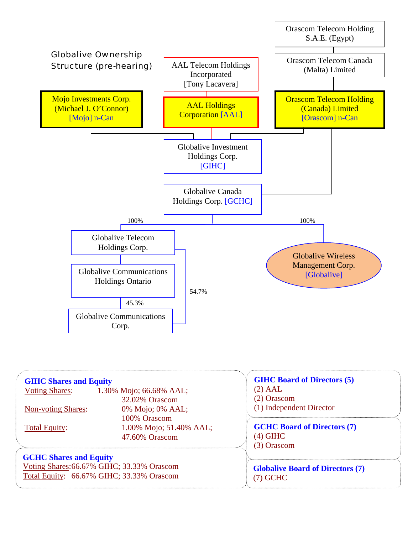

| <b>GIHC Shares and Equity</b><br><b>Voting Shares:</b><br><b>Non-voting Shares:</b><br><b>Total Equity:</b>              | 1.30% Mojo; 66.68% AAL;<br>32.02% Orascom<br>0% Mojo; 0% AAL;<br>100% Orascom<br>1.00% Mojo; 51.40% AAL;<br>47.60% Orascom | <b>GIHC Board of Directors (5)</b><br>$(2)$ AAL<br>(2) Orascom<br>(1) Independent Director<br><b>GCHC Board of Directors (7)</b><br>$(4)$ GIHC<br>(3) Orascom |
|--------------------------------------------------------------------------------------------------------------------------|----------------------------------------------------------------------------------------------------------------------------|---------------------------------------------------------------------------------------------------------------------------------------------------------------|
| <b>GCHC Shares and Equity</b><br>Voting Shares: 66.67% GIHC; 33.33% Orascom<br>Total Equity: 66.67% GIHC; 33.33% Orascom |                                                                                                                            | <b>Globalive Board of Directors (7)</b><br>$(7)$ GCHC                                                                                                         |